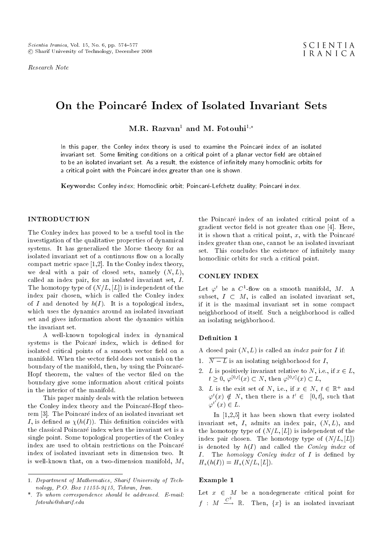Research Note

# On the Poincaré Index of Isolated Invariant Sets

M.R. Razvan<sup>1</sup> and M. Fotouhi<sup>1,\*</sup>

In this paper, the Conley index theory is used to examine the Poincaré index of an isolated invariant set. Some limiting conditions on a critical point of a planar vector field are obtained to be an isolated invariant set. As a result, the existence of infinitely many homoclinic orbits for a critical point with the Poincaré index greater than one is shown.

Keywords: Conley index; Homoclinic orbit; Poincaré-Lefchetz duality; Poincaré index.

# INTRODUCTION

The Conley index has proved to be a useful tool in the investigation of the qualitative properties of dynamical systems. It has generalized the Morse theory for an isolated invariant set of a continuous flow on a locally compact metric space [1,2]. In the Conley index theory, we deal with a pair of closed sets, namely  $(N, L)$ , called an index pair, for an isolated invariant set, I. The homotopy type of  $(N/L, [L])$  is independent of the index pair chosen, which is called the Conley index of I and denoted by  $h(I)$ . It is a topological index, which uses the dynamics around an isolated invariant set and gives information about the dynamics within the invariant set.

A well-known topological index in dynamical systems is the Poicaré index, which is defined for isolated critical points of a smooth vector field on a manifold. When the vector field does not vanish on the boundary of the manifold, then, by using the Poincare-Hopf theorem, the values of the vector filed on the boundary give some information about critical points in the interior of the manifold.

This paper mainly deals with the relation between the Conley index theory and the Poincaré-Hopf theorem [3]. The Poincaré index of an isolated invariant set I, is defined as  $\chi(h(I))$ . This definition coincides with the classical Poincaré index when the invariant set is a single point. Some topological properties of the Conley index are used to obtain restrictions on the Poincare index of isolated invariant sets in dimension two. It is well-known that, on a two-dimension manifold, M, the Poincaré index of an isolated critical point of a gradient vector field is not greater than one  $[4]$ . Here, it is shown that a critical point,  $x$ , with the Poincaré index greater than one, cannot be an isolated invariant set. This concludes the existence of infinitely many homoclinic orbits for such a critical point.

# CONLEY INDEX

Let  $\varphi^t$  be a  $C^1$ -flow on a smooth manifold, M. A subset,  $I \subset M$ , is called an isolated invariant set, if it is the maximal invariant set in some compact neighborhood of itself. Such a neighborhood is called an isolating neighborhood.

## Definition 1

A closed pair  $(N, L)$  is called an *index pair* for I if:

- 1.  $\overline{N-L}$  is an isolating neighborhood for I,
- 2. L is positively invariant relative to N, i.e., if  $x \in L$ ,  $t \geq 0, \varphi^{[0,t]}(x) \subset N$ , then  $\varphi^{[0,t]}(x) \subset L$ ,
- 3. L is the exit set of N, i.e., if  $x \in N$ ,  $t \in \mathbb{R}^+$  and  $\varphi^t(x) \notin N$ , then there is a  $t' \in [0, t]$ , such that  $\varphi^{t'}(x) \in L.$

In [1,2,5] it has been shown that every isolated invariant set,  $I$ , admits an index pair,  $(N, L)$ , and the homotopy type of  $(N/L, [L])$  is independent of the index pair chosen. The homotopy type of  $(N/L, [L])$ is denoted by  $h(I)$  and called the *Conley index* of  $I.$  The homology Conley index of  $I$  is defined by  $H_*(h(I)) = H_*(N/L, [L]).$ 

# Example 1

Let  $x \in M$  be a nondegenerate critical point for  $f$  :  $M \stackrel{C^2}{\longrightarrow} \mathbb{R}$ . Then,  $\{x\}$  is an isolated invariant

<sup>1.</sup> Department of Mathematics, Sharif University of Technology, P.O. Box 11155-9415, Tehran, Iran.

<sup>\*.</sup> To whom correspondence should be addressed. E-mail: fotouhi@sharif.edu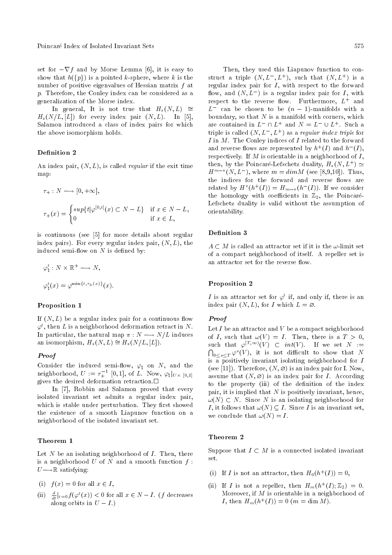set for  $-\nabla f$  and by Morse Lemma [6], it is easy to show that  $h({p})$  is a pointed k-sphere, where k is the number of positive eigenvalues of Hessian matrix f at p. Therefore, the Conley index can be considered as a generalization of the Morse index.

In general, It is not true that  $H_*(N, L) \cong$  $H_*(N/L, [L])$  for every index pair  $(N, L)$ . In [5], Salamon introduced a class of index pairs for which the above isomorphism holds.

# Definition 2

An index pair,  $(N, L)$ , is called *regular* if the exit time map:

$$
\tau_+ : N \longrightarrow [0, +\infty],
$$
  

$$
\tau_+(x) = \begin{cases} \sup \{ t | \varphi^{[0,t]}(x) \subset N-L \} & \text{if } x \in N-L, \\ 0 & \text{if } x \in L, \end{cases}
$$

is continuous (see [5] for more details about regular index pairs). For every regular index pair,  $(N, L)$ , the induced semi-flow on  $N$  is defined by:

$$
\varphi_{\natural}^{t}: N \times \mathbb{R}^{+} \longrightarrow N,
$$
  

$$
\varphi_{\natural}^{t}(x) = \varphi^{\min\{t, \tau_{+}(x)\}}(x).
$$

#### Proposition 1

If  $(N, L)$  be a regular index pair for a continuous flow  $\varphi^t$ , then  $L$  is a neighborhood deformation retract in  $N.$ In particular, the natural map  $\pi : N \longrightarrow N/L$  induces an isomorphism,  $H_*(N, L) \cong H_*(N/L, [L]).$ 

## Proof

Consider the induced semi-flow,  $\varphi$ <sub>h</sub> on N, and the neighborhood,  $U := \tau_+^{-1}$  [0,1], of L. Now,  $\varphi_\natural|_{U\times [0,1]}$ gives the desired deformation retraction.

In [7], Robbin and Salamon proved that every isolated invariant set admits a regular index pair, which is stable under perturbation. They first showed the existence of a smooth Liapunov function on a neighborhood of the isolated invariant set.

# Theorem 1

Let  $N$  be an isolating neighborhood of  $I$ . Then, there is a neighborhood U of N and a smooth function  $f$ :  $U \rightarrow \mathbb{R}$  satisfying:

- (i)  $f(x) = 0$  for all  $x \in I$ ,
- (ii)  $\frac{d}{dt}|_{t=0} f(\varphi^t(x)) < 0$  for all  $x \in N-I$ . (f decreases along orbits in  $U - I$ .)

Then, they used this Liapunov function to construct a triple  $(N, L^-, L^+)$ , such that  $(N, L^+)$  is a regular index pair for  $I$ , with respect to the forward flow, and  $(N, L^-)$  is a regular index pair for I, with  $\emph{respect to the reverse flow.}$  Furthermore,  $L^+$  and  $L^-$  can be chosen to be  $(n - 1)$ -manifolds with a boundary, so that  $N$  is a manifold with corners, which are contained in  $L^- \cap L^+$  and  $N = L^- \cup L^+$ . Such a triple is called  $(N, L^-, L^+)$  as a regular index triple for  $I$  in  $M$ . The Conley indices of  $I$  related to the forward and reverse flows are represented by  $h^+(I)$  and  $h^-(I)$ , respectively. If  $M$  is orientable in a neighborhood of  $I$ , then, by the Poincaré-Lefschetz duality,  $H_*(N, L^+) \simeq$  $H^{m-*}(N, L^{-})$ , where  $m = dim M$  (see [8,9,10]). Thus, the indices for the forward and reverse flows are related by  $H^*(h^+(I)) = H_{m-*}(h^-(I))$ . If we consider the homology with coefficients in  $\mathbb{Z}_2$ , the Poincaré-Lefschetz duality is valid without the assumption of orientability.

# Definition 3

 $A \subset M$  is called an attractor set if it is the  $\omega$ -limit set of a compact neighborhood of itself. A repeller set is an attractor set for the reverse flow.

# Proposition 2

I is an attractor set for  $\varphi^t$  if, and only if, there is an index pair  $(N, L)$ , for I which  $L = \emptyset$ .

#### Proof

Let I be an attractor and V be a compact neighborhood of I, such that  $\omega(V) = I$ . Then, there is a  $T > 0$ , such that  $\varphi^{[T,\infty)}(V) \subset int(V)$ . If we set  $N :=$ <br>  $\bigcap_{n \leq x \leq T} \varphi^s(V)$ , it is not difficult to show that N  $\int_{0 \leq s \leq T} \varphi^{s}(V)$ , it is not difficult to show that N is a positively invariant isolating neighborhood for  $I$ (see [11]). Therefore,  $(N, \varnothing)$  is an index pair for I. Now, assume that  $(N, \varnothing)$  is an index pair for *I*. According to the property (iii) of the definition of the index pair, it is implied that  $N$  is positively invariant, hence,  $\omega(N) \subset N$ . Since N is an isolating neighborhood for I, it follows that  $\omega(N) \subseteq I$ . Since I is an invariant set, we conclude that  $\omega(N) = I$ .

# Theorem 2

Suppose that  $I \subset M$  is a connected isolated invariant set.

- (i) If I is not an attractor, then  $H_0(h^+(I))=0$ ,
- (ii) If I is not a repeller, then  $H_m(h^+(I); \mathbb{Z}_2) = 0$ . Moreover, if  $M$  is orientable in a neighborhood of *I*, then  $H_m(h^+(I)) = 0$  (*m* = dim *M*).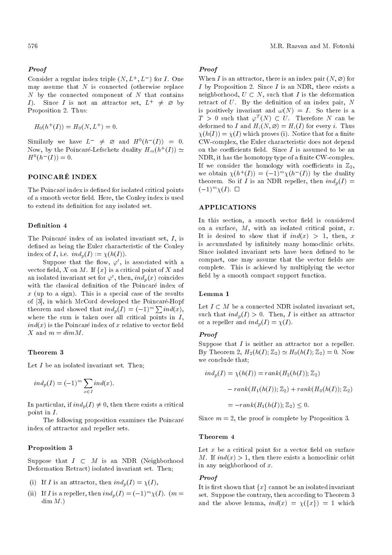# Proof

Consider a regular index triple  $(N, L^+, L^-)$  for I. One may assume that  $N$  is connected (otherwise replace  $N$  by the connected component of  $N$  that contains *I*). Since *I* is not an attractor set,  $L^+ \neq \emptyset$  by Proposition 2. Thus:

$$
H_0(h^+(I)) = H_0(N, L^+) = 0.
$$

Similarly we have  $L^- \neq \emptyset$  and  $H^0(h^-(I)) = 0$ . Now, by the Poincaré-Lefschetz duality  $H_m(h^+(I)) \simeq$  $H^0(h^-(I)) = 0.$ 

# POINCARE INDEX

The Poincaré index is defined for isolated critical points of a smooth vector field. Here, the Conley index is used to extend its definition for any isolated set.

#### Definition 4

The Poincaré index of an isolated invariant set,  $I$ , is defined as being the Euler characteristic of the Conley index of I, i.e.  $ind_p(I) := \chi(h(I)).$ 

Suppose that the flow,  $\varphi^t$ , is associated with a vector field, X on M. If  $\{x\}$  is a critical point of X and an isolated invariant set for  $\varphi^t$ , then,  $ind_p(x)$  coincides with the classical definition of the Poincaré index of  $x$  (up to a sign). This is a special case of the results of [3], in which McCord developed the Poincare-Hopf theorem and showed that  $ind_p(I) = (-1)^m \sum ind(x)$ , where the sum is taken over all critical points in  $I$ ,  $ind(x)$  is the Poincaré index of x relative to vector field X and  $m = dim M$ .

## Theorem 3

Let I be an isolated invariant set. Then:

$$
ind_p(I) = (-1)^m \sum_{x \in I} ind(x).
$$

In particular, if  $ind_p(I) \neq 0$ , then there exists a critical point in I.

The following proposition examines the Poincare index of attractor and repeller sets.

## Proposition 3

Suppose that  $I \subset M$  is an NDR (Neighborhood Deformation Retract) isolated invariant set. Then;

- (i) If I is an attractor, then  $ind_n(I) = \chi(I)$ ,
- (ii) If I is a repeller, then  $ind_p(I) = (-1)^m \chi(I)$ .  $(m =$  $\dim M.$

# Proof

When I is an attractor, there is an index pair  $(N, \emptyset)$  for I by Proposition 2. Since I is an NDR, there exists a neighborhood,  $U \subset N$ , such that I is the deformation retract of  $U$ . By the definition of an index pair,  $N$ is positively invariant and  $\omega(N) = I$ . So there is a  $T > 0$  such that  $\varphi^T(N) \subset U$ . Therefore N can be deformed to I and  $H_i(N, \emptyset) = H_i(I)$  for every i. Thus  $\chi(h(I)) = \chi(I)$  which proves (i). Notice that for a finite CW-complex, the Euler characteristic does not depend on the coefficients field. Since  $I$  is assumed to be an NDR, it has the homotopy type of a finite CW-complex. If we consider the homology with coefficients in  $\mathbb{Z}_2$ , we obtain  $\chi(h^+(I)) = (-1)^m \chi(h^-(I))$  by the duality theorem. So if I is an NDR repeller, then  $ind_n(I)$  =  $(-1)^m \chi(I)$ .  $\Box$ 

# APPLICATIONS

In this section, a smooth vector field is considered on a surface,  $M$ , with an isolated critical point,  $x$ . It is desired to show that if  $ind(x) > 1$ , then, x is accumulated by infinitely many homoclinic orbits. Since isolated invariant sets have been defined to be compact, one may assume that the vector fields are complete. This is achieved by multiplying the vector field by a smooth compact support function.

#### Lemma 1

Let  $I \subset M$  be a connected NDR isolated invariant set, such that  $ind_p(I) > 0$ . Then, I is either an attractor or a repeller and  $ind_p(I) = \chi(I)$ .

# Proof

Suppose that I is neither an attractor nor a repeller. By Theorem 2,  $H_2(h(I); \mathbb{Z}_2) \simeq H_0(h(I); \mathbb{Z}_2) = 0$ . Now we conclude that;

$$
ind_p(I) = \chi(h(I)) = rank(H_2(h(I)); \mathbb{Z}_2)
$$

$$
- rank(H_1(h(I)); \mathbb{Z}_2) + rank(H_0(h(I)); \mathbb{Z}_2)
$$

$$
= -rank(H_1(h(I)); \mathbb{Z}_2) \le 0.
$$

Since  $m = 2$ , the proof is complete by Proposition 3.

#### Theorem 4

Let  $x$  be a critical point for a vector field on surface M. If  $ind(x) > 1$ , then there exists a homoclinic orbit in any neighborhood of  $x$ .

#### Proof

It is first shown that  $\{x\}$  cannot be an isolated invariant set. Suppose the contrary, then according to Theorem 3 and the above lemma,  $ind(x) = \chi({x}) = 1$  which